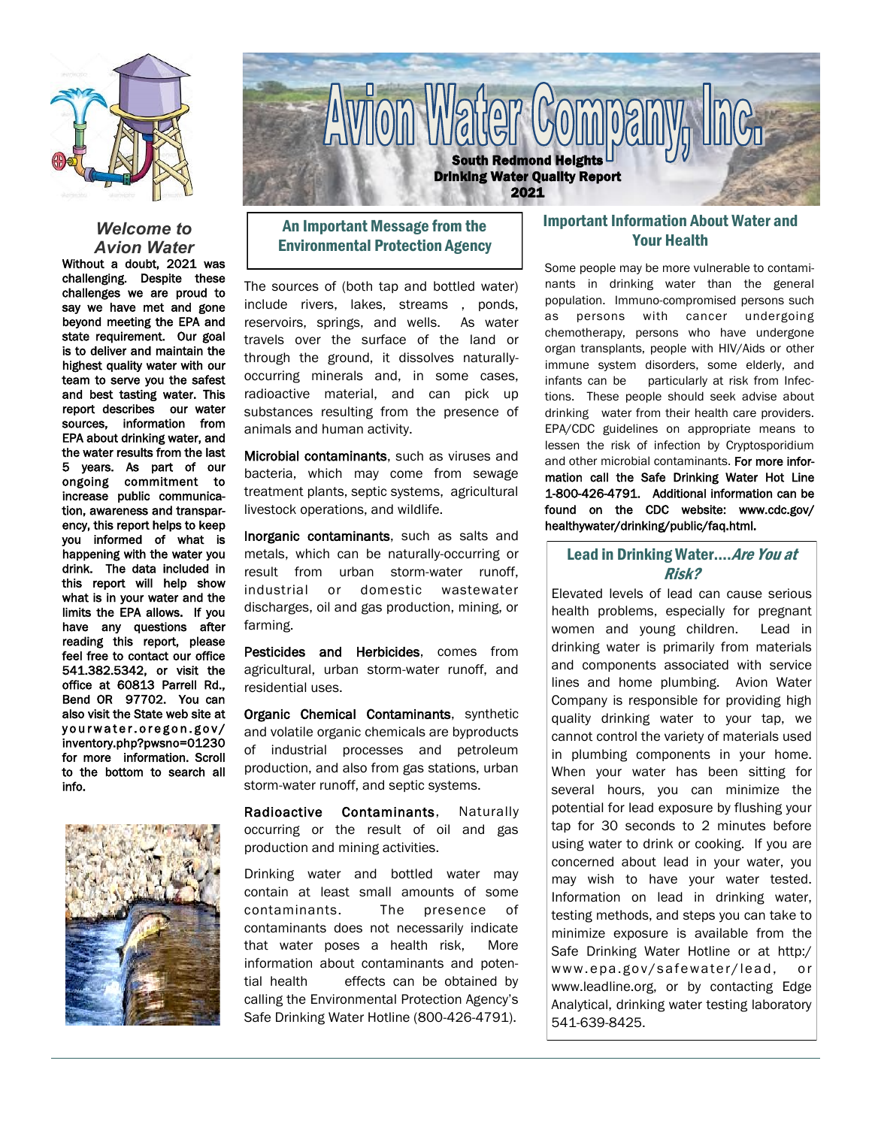

#### *Welcome to Avion Water*

Without a doubt, 2021 was challenging. Despite these challenges we are proud to say we have met and gone beyond meeting the EPA and state requirement. Our goal is to deliver and maintain the highest quality water with our team to serve you the safest and best tasting water. This report describes our water sources, information from EPA about drinking water, and the water results from the last 5 years. As part of our ongoing commitment to increase public communication, awareness and transparency, this report helps to keep you informed of what is happening with the water you drink. The data included in this report will help show what is in your water and the limits the EPA allows. If you have any questions after reading this report, please feel free to contact our office 541.382.5342, or visit the office at 60813 Parrell Rd., Bend OR 97702. You can also visit the State web site at yourwater.oregon.gov/ inventory.php?pwsno=01230 for more information. Scroll to the bottom to search all info.





# An Important Message from the Environmental Protection Agency

The sources of (both tap and bottled water) include rivers, lakes, streams , ponds, reservoirs, springs, and wells. As water travels over the surface of the land or through the ground, it dissolves naturallyoccurring minerals and, in some cases, radioactive material, and can pick up substances resulting from the presence of animals and human activity.

Microbial contaminants, such as viruses and bacteria, which may come from sewage treatment plants, septic systems, agricultural livestock operations, and wildlife.

Inorganic contaminants, such as salts and metals, which can be naturally-occurring or result from urban storm-water runoff, industrial or domestic wastewater discharges, oil and gas production, mining, or farming.

Pesticides and Herbicides, comes from agricultural, urban storm-water runoff, and residential uses.

Organic Chemical Contaminants, synthetic and volatile organic chemicals are byproducts of industrial processes and petroleum production, and also from gas stations, urban storm-water runoff, and septic systems.

Radioactive Contaminants, Naturally occurring or the result of oil and gas production and mining activities.

Drinking water and bottled water may contain at least small amounts of some contaminants. The presence of contaminants does not necessarily indicate that water poses a health risk, More information about contaminants and potential health effects can be obtained by calling the Environmental Protection Agency's Safe Drinking Water Hotline (800-426-4791).

## Important Information About Water and Your Health

Some people may be more vulnerable to contaminants in drinking water than the general population. Immuno-compromised persons such as persons with cancer undergoing chemotherapy, persons who have undergone organ transplants, people with HIV/Aids or other immune system disorders, some elderly, and infants can be particularly at risk from Infections. These people should seek advise about drinking water from their health care providers. EPA/CDC guidelines on appropriate means to lessen the risk of infection by Cryptosporidium and other microbial contaminants. For more information call the Safe Drinking Water Hot Line 1-800-426-4791. Additional information can be found on the CDC website: www.cdc.gov/ healthywater/drinking/public/faq.html.

## Lead in Drinking Water.... Are You at Risk?

Elevated levels of lead can cause serious health problems, especially for pregnant women and young children. Lead in drinking water is primarily from materials and components associated with service lines and home plumbing. Avion Water Company is responsible for providing high quality drinking water to your tap, we cannot control the variety of materials used in plumbing components in your home. When your water has been sitting for several hours, you can minimize the potential for lead exposure by flushing your tap for 30 seconds to 2 minutes before using water to drink or cooking. If you are concerned about lead in your water, you may wish to have your water tested. Information on lead in drinking water, testing methods, and steps you can take to minimize exposure is available from the Safe Drinking Water Hotline or at http:/ www.epa.gov/safewater/lead, or www.leadline.org, or by contacting Edge Analytical, drinking water testing laboratory 541-639-8425.